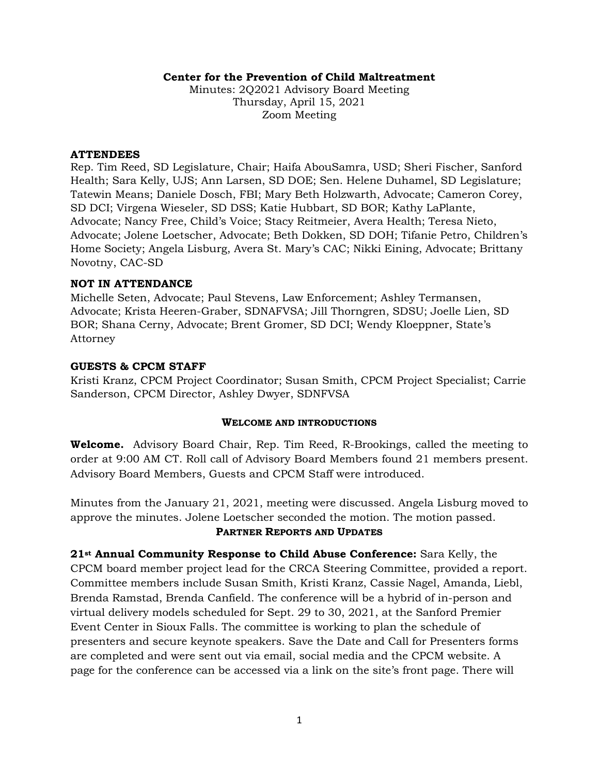### **Center for the Prevention of Child Maltreatment**

Minutes: 2Q2021 Advisory Board Meeting Thursday, April 15, 2021 Zoom Meeting

#### **ATTENDEES**

Rep. Tim Reed, SD Legislature, Chair; Haifa AbouSamra, USD; Sheri Fischer, Sanford Health; Sara Kelly, UJS; Ann Larsen, SD DOE; Sen. Helene Duhamel, SD Legislature; Tatewin Means; Daniele Dosch, FBI; Mary Beth Holzwarth, Advocate; Cameron Corey, SD DCI; Virgena Wieseler, SD DSS; Katie Hubbart, SD BOR; Kathy LaPlante, Advocate; Nancy Free, Child's Voice; Stacy Reitmeier, Avera Health; Teresa Nieto, Advocate; Jolene Loetscher, Advocate; Beth Dokken, SD DOH; Tifanie Petro, Children's Home Society; Angela Lisburg, Avera St. Mary's CAC; Nikki Eining, Advocate; Brittany Novotny, CAC-SD

### **NOT IN ATTENDANCE**

Michelle Seten, Advocate; Paul Stevens, Law Enforcement; Ashley Termansen, Advocate; Krista Heeren-Graber, SDNAFVSA; Jill Thorngren, SDSU; Joelle Lien, SD BOR; Shana Cerny, Advocate; Brent Gromer, SD DCI; Wendy Kloeppner, State's Attorney

### **GUESTS & CPCM STAFF**

Kristi Kranz, CPCM Project Coordinator; Susan Smith, CPCM Project Specialist; Carrie Sanderson, CPCM Director, Ashley Dwyer, SDNFVSA

### **WELCOME AND INTRODUCTIONS**

**Welcome.** Advisory Board Chair, Rep. Tim Reed, R-Brookings, called the meeting to order at 9:00 AM CT. Roll call of Advisory Board Members found 21 members present. Advisory Board Members, Guests and CPCM Staff were introduced.

Minutes from the January 21, 2021, meeting were discussed. Angela Lisburg moved to approve the minutes. Jolene Loetscher seconded the motion. The motion passed.

## **PARTNER REPORTS AND UPDATES**

**21st Annual Community Response to Child Abuse Conference:** Sara Kelly, the CPCM board member project lead for the CRCA Steering Committee, provided a report. Committee members include Susan Smith, Kristi Kranz, Cassie Nagel, Amanda, Liebl, Brenda Ramstad, Brenda Canfield. The conference will be a hybrid of in-person and virtual delivery models scheduled for Sept. 29 to 30, 2021, at the Sanford Premier Event Center in Sioux Falls. The committee is working to plan the schedule of presenters and secure keynote speakers. Save the Date and Call for Presenters forms are completed and were sent out via email, social media and the CPCM website. A page for the conference can be accessed via a link on the site's front page. There will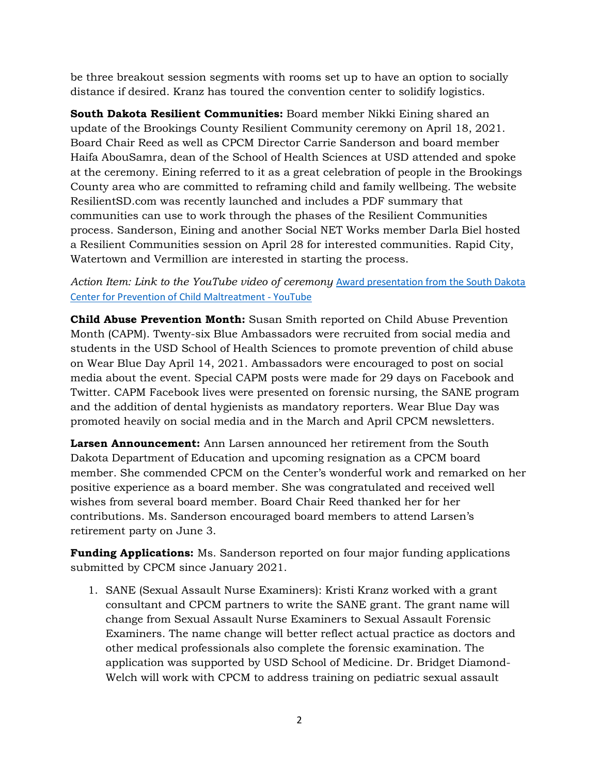be three breakout session segments with rooms set up to have an option to socially distance if desired. Kranz has toured the convention center to solidify logistics.

**South Dakota Resilient Communities:** Board member Nikki Eining shared an update of the Brookings County Resilient Community ceremony on April 18, 2021. Board Chair Reed as well as CPCM Director Carrie Sanderson and board member Haifa AbouSamra, dean of the School of Health Sciences at USD attended and spoke at the ceremony. Eining referred to it as a great celebration of people in the Brookings County area who are committed to reframing child and family wellbeing. The website ResilientSD.com was recently launched and includes a PDF summary that communities can use to work through the phases of the Resilient Communities process. Sanderson, Eining and another Social NET Works member Darla Biel hosted a Resilient Communities session on April 28 for interested communities. Rapid City, Watertown and Vermillion are interested in starting the process.

## Action Item: Link to the YouTube video of ceremony Award presentation from the South Dakota [Center for Prevention of Child Maltreatment -](https://www.youtube.com/watch?v=tV7_Q4lQMg4) YouTube

**Child Abuse Prevention Month:** Susan Smith reported on Child Abuse Prevention Month (CAPM). Twenty-six Blue Ambassadors were recruited from social media and students in the USD School of Health Sciences to promote prevention of child abuse on Wear Blue Day April 14, 2021. Ambassadors were encouraged to post on social media about the event. Special CAPM posts were made for 29 days on Facebook and Twitter. CAPM Facebook lives were presented on forensic nursing, the SANE program and the addition of dental hygienists as mandatory reporters. Wear Blue Day was promoted heavily on social media and in the March and April CPCM newsletters.

**Larsen Announcement:** Ann Larsen announced her retirement from the South Dakota Department of Education and upcoming resignation as a CPCM board member. She commended CPCM on the Center's wonderful work and remarked on her positive experience as a board member. She was congratulated and received well wishes from several board member. Board Chair Reed thanked her for her contributions. Ms. Sanderson encouraged board members to attend Larsen's retirement party on June 3.

**Funding Applications:** Ms. Sanderson reported on four major funding applications submitted by CPCM since January 2021.

1. SANE (Sexual Assault Nurse Examiners): Kristi Kranz worked with a grant consultant and CPCM partners to write the SANE grant. The grant name will change from Sexual Assault Nurse Examiners to Sexual Assault Forensic Examiners. The name change will better reflect actual practice as doctors and other medical professionals also complete the forensic examination. The application was supported by USD School of Medicine. Dr. Bridget Diamond-Welch will work with CPCM to address training on pediatric sexual assault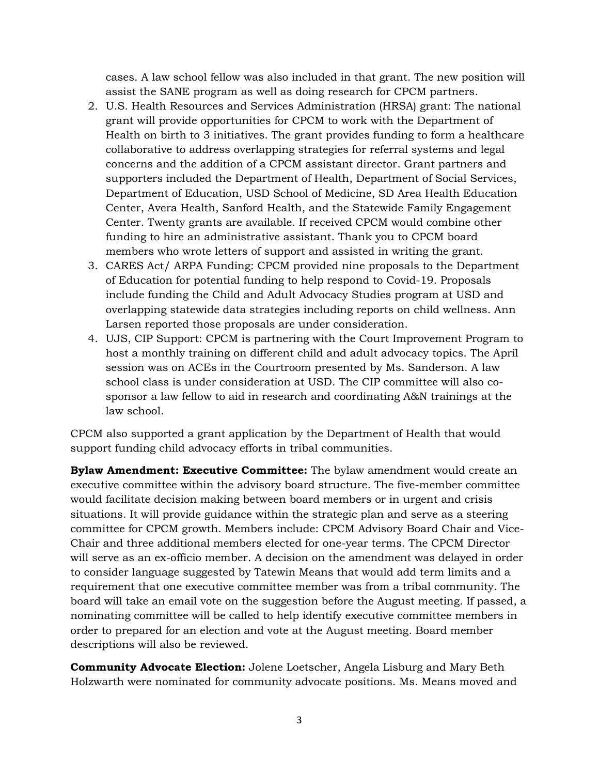cases. A law school fellow was also included in that grant. The new position will assist the SANE program as well as doing research for CPCM partners.

- 2. U.S. Health Resources and Services Administration (HRSA) grant: The national grant will provide opportunities for CPCM to work with the Department of Health on birth to 3 initiatives. The grant provides funding to form a healthcare collaborative to address overlapping strategies for referral systems and legal concerns and the addition of a CPCM assistant director. Grant partners and supporters included the Department of Health, Department of Social Services, Department of Education, USD School of Medicine, SD Area Health Education Center, Avera Health, Sanford Health, and the Statewide Family Engagement Center. Twenty grants are available. If received CPCM would combine other funding to hire an administrative assistant. Thank you to CPCM board members who wrote letters of support and assisted in writing the grant.
- 3. CARES Act/ ARPA Funding: CPCM provided nine proposals to the Department of Education for potential funding to help respond to Covid-19. Proposals include funding the Child and Adult Advocacy Studies program at USD and overlapping statewide data strategies including reports on child wellness. Ann Larsen reported those proposals are under consideration.
- 4. UJS, CIP Support: CPCM is partnering with the Court Improvement Program to host a monthly training on different child and adult advocacy topics. The April session was on ACEs in the Courtroom presented by Ms. Sanderson. A law school class is under consideration at USD. The CIP committee will also cosponsor a law fellow to aid in research and coordinating A&N trainings at the law school.

CPCM also supported a grant application by the Department of Health that would support funding child advocacy efforts in tribal communities.

**Bylaw Amendment: Executive Committee:** The bylaw amendment would create an executive committee within the advisory board structure. The five-member committee would facilitate decision making between board members or in urgent and crisis situations. It will provide guidance within the strategic plan and serve as a steering committee for CPCM growth. Members include: CPCM Advisory Board Chair and Vice-Chair and three additional members elected for one-year terms. The CPCM Director will serve as an ex-officio member. A decision on the amendment was delayed in order to consider language suggested by Tatewin Means that would add term limits and a requirement that one executive committee member was from a tribal community. The board will take an email vote on the suggestion before the August meeting. If passed, a nominating committee will be called to help identify executive committee members in order to prepared for an election and vote at the August meeting. Board member descriptions will also be reviewed.

**Community Advocate Election:** Jolene Loetscher, Angela Lisburg and Mary Beth Holzwarth were nominated for community advocate positions. Ms. Means moved and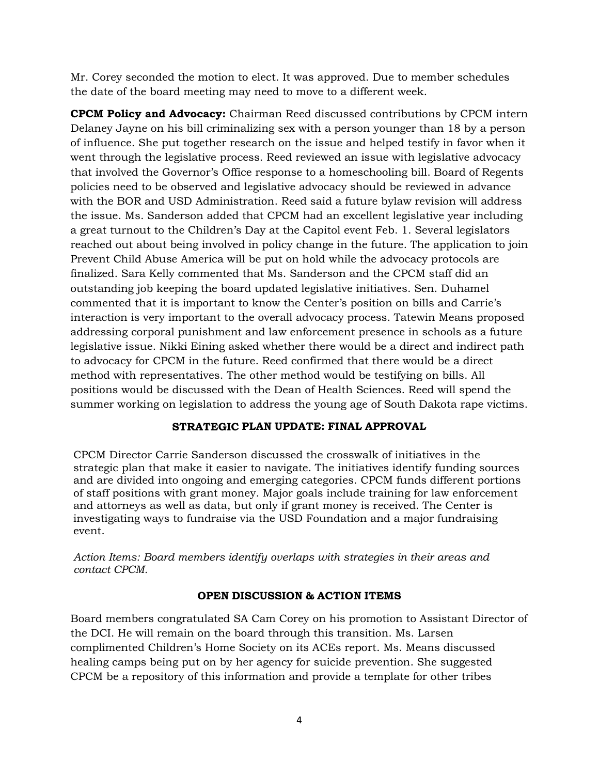Mr. Corey seconded the motion to elect. It was approved. Due to member schedules the date of the board meeting may need to move to a different week.

**CPCM Policy and Advocacy:** Chairman Reed discussed contributions by CPCM intern Delaney Jayne on his bill criminalizing sex with a person younger than 18 by a person of influence. She put together research on the issue and helped testify in favor when it went through the legislative process. Reed reviewed an issue with legislative advocacy that involved the Governor's Office response to a homeschooling bill. Board of Regents policies need to be observed and legislative advocacy should be reviewed in advance with the BOR and USD Administration. Reed said a future bylaw revision will address the issue. Ms. Sanderson added that CPCM had an excellent legislative year including a great turnout to the Children's Day at the Capitol event Feb. 1. Several legislators reached out about being involved in policy change in the future. The application to join Prevent Child Abuse America will be put on hold while the advocacy protocols are finalized. Sara Kelly commented that Ms. Sanderson and the CPCM staff did an outstanding job keeping the board updated legislative initiatives. Sen. Duhamel commented that it is important to know the Center's position on bills and Carrie's interaction is very important to the overall advocacy process. Tatewin Means proposed addressing corporal punishment and law enforcement presence in schools as a future legislative issue. Nikki Eining asked whether there would be a direct and indirect path to advocacy for CPCM in the future. Reed confirmed that there would be a direct method with representatives. The other method would be testifying on bills. All positions would be discussed with the Dean of Health Sciences. Reed will spend the summer working on legislation to address the young age of South Dakota rape victims.

## **STRATEGIC PLAN UPDATE: FINAL APPROVAL**

CPCM Director Carrie Sanderson discussed the crosswalk of initiatives in the strategic plan that make it easier to navigate. The initiatives identify funding sources and are divided into ongoing and emerging categories. CPCM funds different portions of staff positions with grant money. Major goals include training for law enforcement and attorneys as well as data, but only if grant money is received. The Center is investigating ways to fundraise via the USD Foundation and a major fundraising event.

*Action Items: Board members identify overlaps with strategies in their areas and contact CPCM.* 

## **OPEN DISCUSSION & ACTION ITEMS**

Board members congratulated SA Cam Corey on his promotion to Assistant Director of the DCI. He will remain on the board through this transition. Ms. Larsen complimented Children's Home Society on its ACEs report. Ms. Means discussed healing camps being put on by her agency for suicide prevention. She suggested CPCM be a repository of this information and provide a template for other tribes